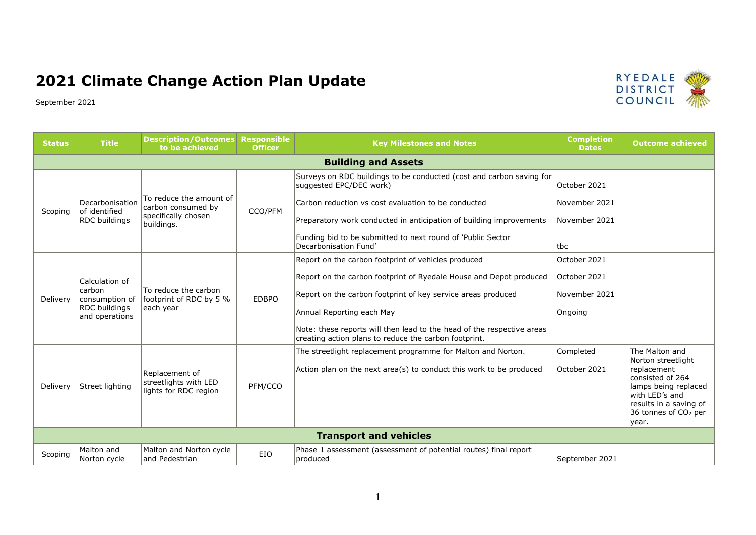## **2021 Climate Change Action Plan Update**

September 2021



**RYEDALE DISTRICT** COUNCIL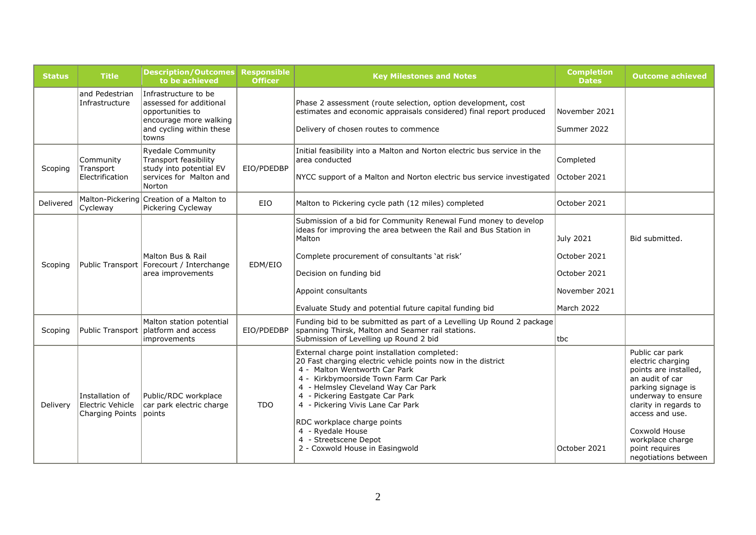| <b>Status</b> | <b>Title</b>                                           | <b>Description/Outcomes</b><br>to be achieved                                                                                       | <b>Responsible</b><br><b>Officer</b> | <b>Key Milestones and Notes</b>                                                                                                                                                                                                                                                                                                                                                                                        | <b>Completion</b><br><b>Dates</b>                                               | <b>Outcome achieved</b>                                                                                                                                                                                                                                 |
|---------------|--------------------------------------------------------|-------------------------------------------------------------------------------------------------------------------------------------|--------------------------------------|------------------------------------------------------------------------------------------------------------------------------------------------------------------------------------------------------------------------------------------------------------------------------------------------------------------------------------------------------------------------------------------------------------------------|---------------------------------------------------------------------------------|---------------------------------------------------------------------------------------------------------------------------------------------------------------------------------------------------------------------------------------------------------|
|               | and Pedestrian<br>Infrastructure                       | Infrastructure to be<br>lassessed for additional<br>opportunities to<br>encourage more walking<br>and cycling within these<br>towns |                                      | Phase 2 assessment (route selection, option development, cost<br>estimates and economic appraisals considered) final report produced<br>Delivery of chosen routes to commence                                                                                                                                                                                                                                          | November 2021<br>Summer 2022                                                    |                                                                                                                                                                                                                                                         |
| Scoping       | Community<br>Transport<br>Electrification              | <b>Ryedale Community</b><br><b>Transport feasibility</b><br>study into potential EV<br>services for Malton and<br>Norton            | EIO/PDEDBP                           | Initial feasibility into a Malton and Norton electric bus service in the<br>larea conducted<br>NYCC support of a Malton and Norton electric bus service investigated                                                                                                                                                                                                                                                   | Completed<br>October 2021                                                       |                                                                                                                                                                                                                                                         |
| Delivered     | Cycleway                                               | Malton-Pickering Creation of a Malton to<br>Pickering Cycleway                                                                      | EIO                                  | Malton to Pickering cycle path (12 miles) completed                                                                                                                                                                                                                                                                                                                                                                    | October 2021                                                                    |                                                                                                                                                                                                                                                         |
| Scoping       |                                                        | Malton Bus & Rail<br>Public Transport   Forecourt / Interchange<br>area improvements                                                | EDM/EIO                              | Submission of a bid for Community Renewal Fund money to develop<br>ideas for improving the area between the Rail and Bus Station in<br>Malton<br>Complete procurement of consultants 'at risk'<br>Decision on funding bid<br>Appoint consultants<br>Evaluate Study and potential future capital funding bid                                                                                                            | <b>July 2021</b><br>October 2021<br>October 2021<br>November 2021<br>March 2022 | Bid submitted.                                                                                                                                                                                                                                          |
| Scoping       |                                                        | Malton station potential<br>Public Transport platform and access<br>improvements                                                    | EIO/PDEDBP                           | Funding bid to be submitted as part of a Levelling Up Round 2 package<br>spanning Thirsk, Malton and Seamer rail stations.<br>Submission of Levelling up Round 2 bid                                                                                                                                                                                                                                                   | tbc                                                                             |                                                                                                                                                                                                                                                         |
| Delivery      | Installation of<br>Electric Vehicle<br>Charging Points | Public/RDC workplace<br>car park electric charge<br><i>l</i> points                                                                 | <b>TDO</b>                           | External charge point installation completed:<br>20 Fast charging electric vehicle points now in the district<br>4 - Malton Wentworth Car Park<br>4 - Kirkbymoorside Town Farm Car Park<br>4 - Helmsley Cleveland Way Car Park<br>4 - Pickering Eastgate Car Park<br>4 - Pickering Vivis Lane Car Park<br>RDC workplace charge points<br>4 - Ryedale House<br>4 - Streetscene Depot<br>2 - Coxwold House in Easingwold | October 2021                                                                    | Public car park<br>electric charging<br>points are installed,<br>an audit of car<br>parking signage is<br>underway to ensure<br>clarity in regards to<br>access and use.<br>Coxwold House<br>workplace charge<br>point requires<br>negotiations between |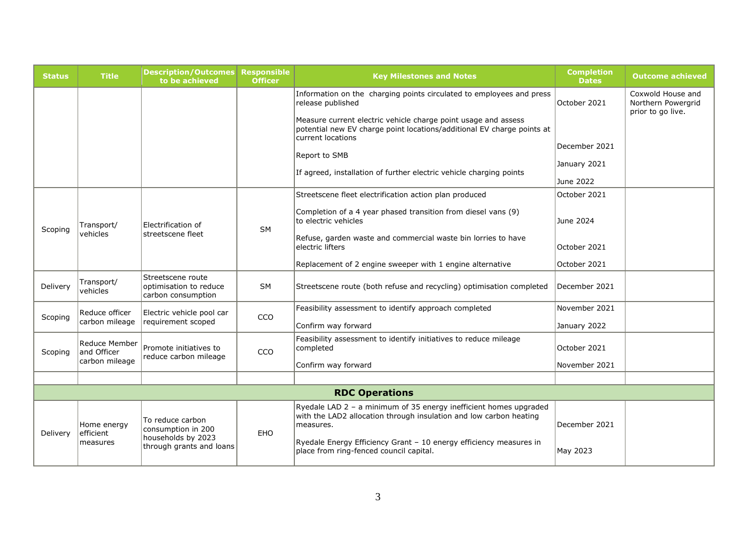| <b>Status</b>         | <b>Title</b>                         | <b>Description/Outcomes</b><br>to be achieved                                            | <b>Responsible</b><br><b>Officer</b> | <b>Key Milestones and Notes</b>                                                                                                                                                                                            | <b>Completion</b><br><b>Dates</b> | <b>Outcome achieved</b>                                      |  |
|-----------------------|--------------------------------------|------------------------------------------------------------------------------------------|--------------------------------------|----------------------------------------------------------------------------------------------------------------------------------------------------------------------------------------------------------------------------|-----------------------------------|--------------------------------------------------------------|--|
|                       |                                      |                                                                                          |                                      | Information on the charging points circulated to employees and press<br>release published                                                                                                                                  | October 2021                      | Coxwold House and<br>Northern Powerarid<br>prior to go live. |  |
|                       |                                      |                                                                                          |                                      | Measure current electric vehicle charge point usage and assess<br>potential new EV charge point locations/additional EV charge points at<br>current locations                                                              |                                   |                                                              |  |
|                       |                                      |                                                                                          |                                      | Report to SMB                                                                                                                                                                                                              | December 2021                     |                                                              |  |
|                       |                                      |                                                                                          |                                      | If agreed, installation of further electric vehicle charging points                                                                                                                                                        | January 2021                      |                                                              |  |
|                       |                                      |                                                                                          |                                      |                                                                                                                                                                                                                            | June 2022                         |                                                              |  |
|                       |                                      |                                                                                          |                                      | Streetscene fleet electrification action plan produced                                                                                                                                                                     | October 2021                      |                                                              |  |
| Scoping               | Transport/<br>vehicles               | Electrification of<br>streetscene fleet                                                  | <b>SM</b>                            | Completion of a 4 year phased transition from diesel vans (9)<br>to electric vehicles                                                                                                                                      | June 2024                         |                                                              |  |
|                       |                                      |                                                                                          |                                      | Refuse, garden waste and commercial waste bin lorries to have<br>electric lifters                                                                                                                                          | October 2021                      |                                                              |  |
|                       |                                      |                                                                                          |                                      | Replacement of 2 engine sweeper with 1 engine alternative                                                                                                                                                                  | October 2021                      |                                                              |  |
| Delivery              | Transport/<br>vehicles               | Streetscene route<br>optimisation to reduce<br>carbon consumption                        | <b>SM</b>                            | Streetscene route (both refuse and recycling) optimisation completed                                                                                                                                                       | December 2021                     |                                                              |  |
| Scoping               | Reduce officer                       | Electric vehicle pool car                                                                | CCO                                  | Feasibility assessment to identify approach completed                                                                                                                                                                      | November 2021                     |                                                              |  |
|                       | carbon mileage                       | requirement scoped                                                                       |                                      | Confirm way forward                                                                                                                                                                                                        | January 2022                      |                                                              |  |
| Scoping               | Reduce Member<br>and Officer         | Promote initiatives to<br>reduce carbon mileage                                          | CCO                                  | Feasibility assessment to identify initiatives to reduce mileage<br>completed                                                                                                                                              | October 2021                      |                                                              |  |
|                       | carbon mileage                       |                                                                                          |                                      | Confirm way forward                                                                                                                                                                                                        | November 2021                     |                                                              |  |
|                       |                                      |                                                                                          |                                      |                                                                                                                                                                                                                            |                                   |                                                              |  |
| <b>RDC Operations</b> |                                      |                                                                                          |                                      |                                                                                                                                                                                                                            |                                   |                                                              |  |
| Delivery              | Home energy<br>efficient<br>measures | To reduce carbon<br>consumption in 200<br>households by 2023<br>through grants and loans | EHO                                  | Ryedale LAD 2 - a minimum of 35 energy inefficient homes upgraded<br>with the LAD2 allocation through insulation and low carbon heating<br>measures.<br>Ryedale Energy Efficiency Grant - 10 energy efficiency measures in | December 2021                     |                                                              |  |
|                       |                                      |                                                                                          |                                      | place from ring-fenced council capital.                                                                                                                                                                                    | May 2023                          |                                                              |  |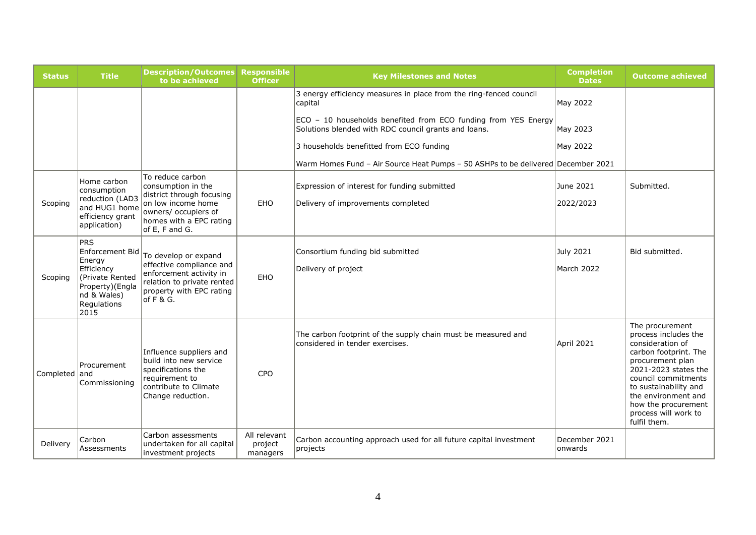| <b>Status</b> | <b>Title</b>                                                                                                                      | <b>Description/Outcomes</b><br>to be achieved                                                                                                      | <b>Responsible</b><br><b>Officer</b> | <b>Key Milestones and Notes</b>                                                                                        | <b>Completion</b><br><b>Dates</b> | <b>Outcome achieved</b>                                                                                                                                                                                                                                                |
|---------------|-----------------------------------------------------------------------------------------------------------------------------------|----------------------------------------------------------------------------------------------------------------------------------------------------|--------------------------------------|------------------------------------------------------------------------------------------------------------------------|-----------------------------------|------------------------------------------------------------------------------------------------------------------------------------------------------------------------------------------------------------------------------------------------------------------------|
|               |                                                                                                                                   |                                                                                                                                                    |                                      | 3 energy efficiency measures in place from the ring-fenced council<br>capital                                          | May 2022                          |                                                                                                                                                                                                                                                                        |
|               |                                                                                                                                   |                                                                                                                                                    |                                      | ECO - 10 households benefited from ECO funding from YES Energy<br>Solutions blended with RDC council grants and loans. | May 2023                          |                                                                                                                                                                                                                                                                        |
|               |                                                                                                                                   |                                                                                                                                                    |                                      | 3 households benefitted from ECO funding                                                                               | May 2022                          |                                                                                                                                                                                                                                                                        |
|               |                                                                                                                                   |                                                                                                                                                    |                                      | Warm Homes Fund - Air Source Heat Pumps - 50 ASHPs to be delivered December 2021                                       |                                   |                                                                                                                                                                                                                                                                        |
|               | Home carbon<br>consumption                                                                                                        | To reduce carbon<br>consumption in the<br>district through focusing                                                                                |                                      | Expression of interest for funding submitted                                                                           | June 2021                         | Submitted.                                                                                                                                                                                                                                                             |
| Scoping       | reduction (LAD3<br>and HUG1 home<br>efficiency grant<br>application)                                                              | on low income home<br>owners/ occupiers of<br>homes with a EPC rating<br>of E, F and G.                                                            | EHO                                  | Delivery of improvements completed                                                                                     | 2022/2023                         |                                                                                                                                                                                                                                                                        |
| Scoping       | <b>PRS</b><br>Enforcement Bid<br>Energy<br>Efficiency<br>(Private Rented<br>Property)(Engla<br>nd & Wales)<br>Regulations<br>2015 | To develop or expand<br>effective compliance and<br>enforcement activity in<br>relation to private rented<br>property with EPC rating<br>of F & G. | EHO                                  | Consortium funding bid submitted<br>Delivery of project                                                                | July 2021<br>March 2022           | Bid submitted.                                                                                                                                                                                                                                                         |
| Completed and | Procurement<br>Commissioning                                                                                                      | Influence suppliers and<br>build into new service<br>specifications the<br>requirement to<br>contribute to Climate<br>Change reduction.            | <b>CPO</b>                           | The carbon footprint of the supply chain must be measured and<br>considered in tender exercises.                       | April 2021                        | The procurement<br>process includes the<br>consideration of<br>carbon footprint. The<br>procurement plan<br>2021-2023 states the<br>council commitments<br>to sustainability and<br>the environment and<br>how the procurement<br>process will work to<br>fulfil them. |
| Delivery      | Carbon<br>Assessments                                                                                                             | Carbon assessments<br>undertaken for all capital<br>investment projects                                                                            | All relevant<br>project<br>managers  | Carbon accounting approach used for all future capital investment<br>projects                                          | December 2021<br>lonwards         |                                                                                                                                                                                                                                                                        |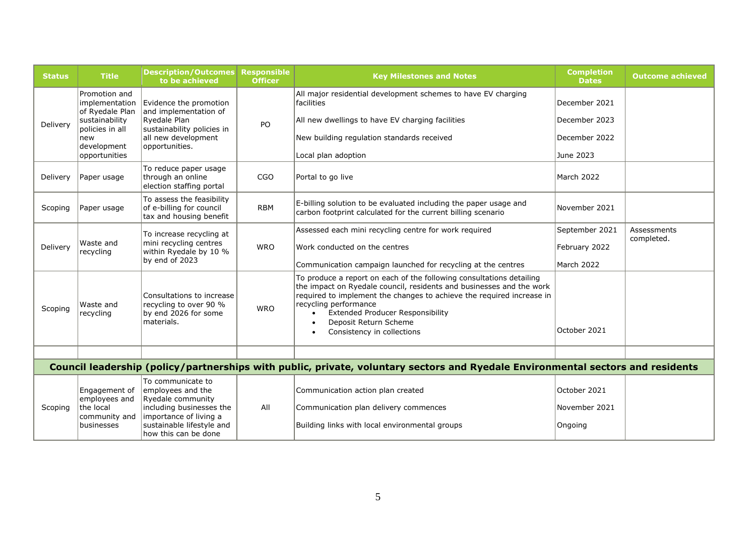| <b>Status</b>                                                                                                                   | <b>Title</b>                                                               | <b>Description/Outcomes</b><br>to be achieved                                                                                                  | <b>Responsible</b><br><b>Officer</b> | <b>Key Milestones and Notes</b>                                                                                                                                                                                                                                                                                                                  | <b>Completion</b><br><b>Dates</b>        | <b>Outcome achieved</b>   |  |  |
|---------------------------------------------------------------------------------------------------------------------------------|----------------------------------------------------------------------------|------------------------------------------------------------------------------------------------------------------------------------------------|--------------------------------------|--------------------------------------------------------------------------------------------------------------------------------------------------------------------------------------------------------------------------------------------------------------------------------------------------------------------------------------------------|------------------------------------------|---------------------------|--|--|
|                                                                                                                                 | Promotion and<br>implementation<br>of Ryedale Plan                         | Evidence the promotion<br>and implementation of                                                                                                |                                      | All major residential development schemes to have EV charging<br>facilities                                                                                                                                                                                                                                                                      | December 2021                            |                           |  |  |
| Delivery                                                                                                                        | sustainability                                                             | Ryedale Plan                                                                                                                                   | PO                                   | All new dwellings to have EV charging facilities                                                                                                                                                                                                                                                                                                 | December 2023                            |                           |  |  |
|                                                                                                                                 | policies in all<br>new                                                     | sustainability policies in<br>all new development                                                                                              |                                      | New building regulation standards received                                                                                                                                                                                                                                                                                                       | December 2022                            |                           |  |  |
|                                                                                                                                 | development<br>opportunities                                               | opportunities.                                                                                                                                 |                                      | Local plan adoption                                                                                                                                                                                                                                                                                                                              | June 2023                                |                           |  |  |
| Delivery                                                                                                                        | Paper usage                                                                | To reduce paper usage<br>through an online<br>election staffing portal                                                                         | <b>CGO</b>                           | Portal to go live                                                                                                                                                                                                                                                                                                                                | March 2022                               |                           |  |  |
| Scoping                                                                                                                         | Paper usage                                                                | To assess the feasibility<br>of e-billing for council<br>tax and housing benefit                                                               | <b>RBM</b>                           | E-billing solution to be evaluated including the paper usage and<br>carbon footprint calculated for the current billing scenario                                                                                                                                                                                                                 | November 2021                            |                           |  |  |
|                                                                                                                                 |                                                                            | To increase recycling at                                                                                                                       |                                      | Assessed each mini recycling centre for work required                                                                                                                                                                                                                                                                                            | September 2021                           | Assessments<br>completed. |  |  |
| Delivery                                                                                                                        | Waste and<br>recycling                                                     | mini recycling centres<br>within Ryedale by 10 %                                                                                               | <b>WRO</b>                           | Work conducted on the centres                                                                                                                                                                                                                                                                                                                    | February 2022                            |                           |  |  |
|                                                                                                                                 |                                                                            | by end of 2023                                                                                                                                 |                                      | Communication campaign launched for recycling at the centres                                                                                                                                                                                                                                                                                     | March 2022                               |                           |  |  |
| Scoping                                                                                                                         | Waste and<br>recycling                                                     | Consultations to increase<br>recycling to over 90 %<br>by end 2026 for some<br>materials.                                                      | <b>WRO</b>                           | To produce a report on each of the following consultations detailing<br>the impact on Ryedale council, residents and businesses and the work<br>required to implement the changes to achieve the required increase in<br>recycling performance<br><b>Extended Producer Responsibility</b><br>Deposit Return Scheme<br>Consistency in collections | October 2021                             |                           |  |  |
|                                                                                                                                 |                                                                            |                                                                                                                                                |                                      |                                                                                                                                                                                                                                                                                                                                                  |                                          |                           |  |  |
| Council leadership (policy/partnerships with public, private, voluntary sectors and Ryedale Environmental sectors and residents |                                                                            |                                                                                                                                                |                                      |                                                                                                                                                                                                                                                                                                                                                  |                                          |                           |  |  |
| Scoping                                                                                                                         | Engagement of<br>employees and<br>the local<br>community and<br>businesses | To communicate to<br>employees and the<br>Ryedale community<br>including businesses the<br>importance of living a<br>sustainable lifestyle and | All                                  | Communication action plan created<br>Communication plan delivery commences<br>Building links with local environmental groups                                                                                                                                                                                                                     | October 2021<br>November 2021<br>Ongoing |                           |  |  |
|                                                                                                                                 |                                                                            | how this can be done                                                                                                                           |                                      |                                                                                                                                                                                                                                                                                                                                                  |                                          |                           |  |  |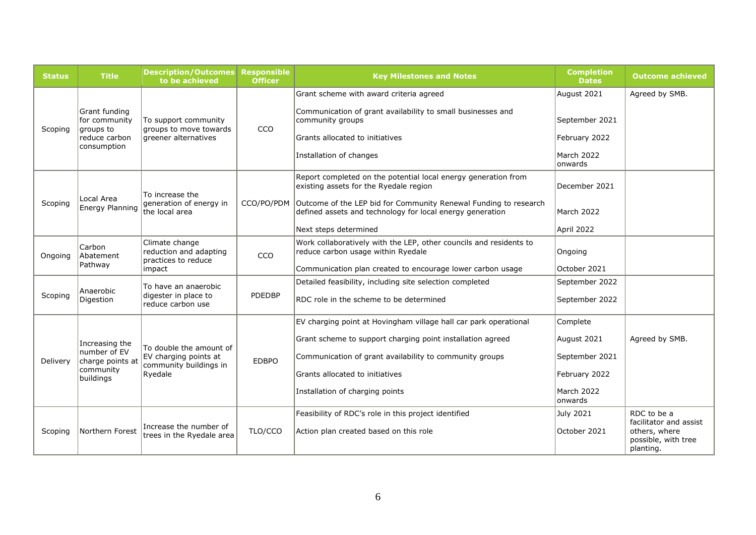| <b>Status</b> | <b>Title</b>                                                                 | <b>Description/Outcomes</b><br>to be achieved                                         | <b>Responsible</b><br><b>Officer</b> | <b>Key Milestones and Notes</b>                                                                                               | <b>Completion</b><br><b>Dates</b> | <b>Outcome achieved</b>                           |
|---------------|------------------------------------------------------------------------------|---------------------------------------------------------------------------------------|--------------------------------------|-------------------------------------------------------------------------------------------------------------------------------|-----------------------------------|---------------------------------------------------|
|               |                                                                              |                                                                                       |                                      | Grant scheme with award criteria agreed                                                                                       | August 2021                       | Agreed by SMB.                                    |
| Scoping       | Grant funding<br>for community<br>groups to<br>reduce carbon<br>consumption  | To support community<br>groups to move towards<br>greener alternatives                | CCO                                  | Communication of grant availability to small businesses and<br>community groups                                               | September 2021                    |                                                   |
|               |                                                                              |                                                                                       |                                      | Grants allocated to initiatives                                                                                               | February 2022                     |                                                   |
|               |                                                                              |                                                                                       |                                      | Installation of changes                                                                                                       | March 2022<br>onwards             |                                                   |
|               |                                                                              | To increase the                                                                       |                                      | Report completed on the potential local energy generation from<br>existing assets for the Ryedale region                      | December 2021                     |                                                   |
| Scoping       | Local Area<br>Energy Planning                                                | generation of energy in<br>the local area                                             | CCO/PO/PDM                           | Outcome of the LEP bid for Community Renewal Funding to research<br>defined assets and technology for local energy generation | March 2022                        |                                                   |
|               |                                                                              |                                                                                       |                                      | Next steps determined                                                                                                         | April 2022                        |                                                   |
| Ongoing       | Carbon<br>Abatement<br>Pathway                                               | Climate change<br>reduction and adapting<br>practices to reduce<br>impact             | CCO                                  | Work collaboratively with the LEP, other councils and residents to<br>reduce carbon usage within Ryedale                      | Ongoing                           |                                                   |
|               |                                                                              |                                                                                       |                                      | Communication plan created to encourage lower carbon usage                                                                    | October 2021                      |                                                   |
|               | Anaerobic<br>Digestion                                                       | To have an anaerobic<br>digester in place to<br>reduce carbon use                     | PDEDBP                               | Detailed feasibility, including site selection completed                                                                      | September 2022                    |                                                   |
| Scoping       |                                                                              |                                                                                       |                                      | RDC role in the scheme to be determined                                                                                       | September 2022                    |                                                   |
|               | Increasing the<br>number of EV<br>charge points at<br>community<br>buildings | To double the amount of<br>EV charging points at<br>community buildings in<br>Ryedale | <b>EDBPO</b>                         | EV charging point at Hovingham village hall car park operational                                                              | Complete                          |                                                   |
|               |                                                                              |                                                                                       |                                      | Grant scheme to support charging point installation agreed                                                                    | August 2021                       | Agreed by SMB.                                    |
| Delivery      |                                                                              |                                                                                       |                                      | Communication of grant availability to community groups                                                                       | September 2021                    |                                                   |
|               |                                                                              |                                                                                       |                                      | Grants allocated to initiatives                                                                                               | February 2022                     |                                                   |
|               |                                                                              |                                                                                       |                                      | Installation of charging points                                                                                               | March 2022<br>lonwards            |                                                   |
|               |                                                                              |                                                                                       |                                      | Feasibility of RDC's role in this project identified                                                                          | <b>July 2021</b>                  | RDC to be a<br>facilitator and assist             |
| Scoping       | Northern Forest                                                              | Increase the number of<br>trees in the Ryedale area                                   | TLO/CCO                              | Action plan created based on this role                                                                                        | October 2021                      | others, where<br>possible, with tree<br>planting. |